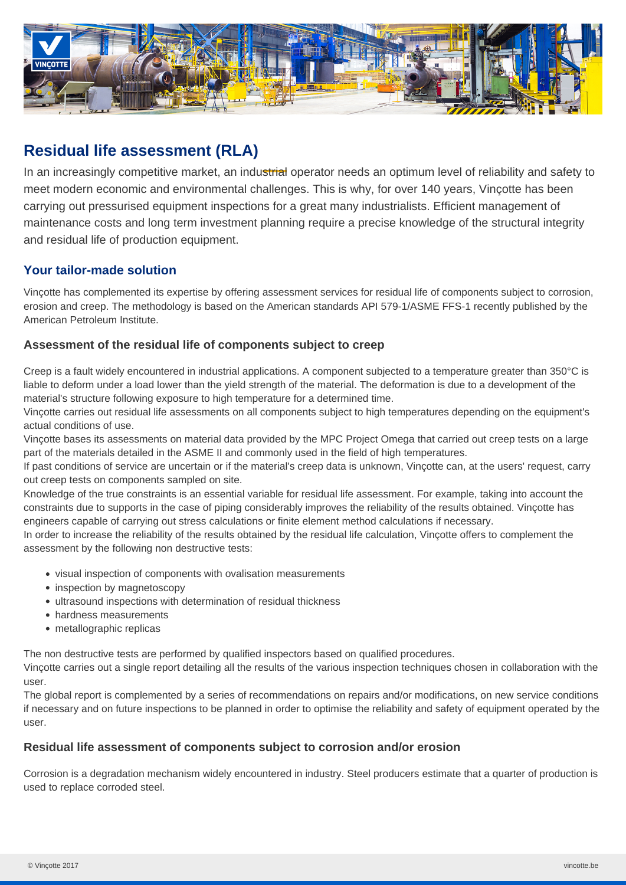

# **Residual life assessment (RLA)**

In an increasingly competitive market, an industrial operator needs an optimum level of reliability and safety to meet modern economic and environmental challenges. This is why, for over 140 years, Vinçotte has been carrying out pressurised equipment inspections for a great many industrialists. Efficient management of maintenance costs and long term investment planning require a precise knowledge of the structural integrity and residual life of production equipment.

# **Your tailor-made solution**

Vinçotte has complemented its expertise by offering assessment services for residual life of components subject to corrosion, erosion and creep. The methodology is based on the American standards API 579-1/ASME FFS-1 recently published by the American Petroleum Institute.

## **Assessment of the residual life of components subject to creep**

Creep is a fault widely encountered in industrial applications. A component subjected to a temperature greater than 350°C is liable to deform under a load lower than the yield strength of the material. The deformation is due to a development of the material's structure following exposure to high temperature for a determined time.

Vinçotte carries out residual life assessments on all components subject to high temperatures depending on the equipment's actual conditions of use.

Vinçotte bases its assessments on material data provided by the MPC Project Omega that carried out creep tests on a large part of the materials detailed in the ASME II and commonly used in the field of high temperatures.

If past conditions of service are uncertain or if the material's creep data is unknown, Vinçotte can, at the users' request, carry out creep tests on components sampled on site.

Knowledge of the true constraints is an essential variable for residual life assessment. For example, taking into account the constraints due to supports in the case of piping considerably improves the reliability of the results obtained. Vinçotte has engineers capable of carrying out stress calculations or finite element method calculations if necessary.

In order to increase the reliability of the results obtained by the residual life calculation, Vinçotte offers to complement the assessment by the following non destructive tests:

- visual inspection of components with ovalisation measurements
- inspection by magnetoscopy
- ultrasound inspections with determination of residual thickness
- hardness measurements
- metallographic replicas

The non destructive tests are performed by qualified inspectors based on qualified procedures.

Vinçotte carries out a single report detailing all the results of the various inspection techniques chosen in collaboration with the user.

The global report is complemented by a series of recommendations on repairs and/or modifications, on new service conditions if necessary and on future inspections to be planned in order to optimise the reliability and safety of equipment operated by the user.

## **Residual life assessment of components subject to corrosion and/or erosion**

Corrosion is a degradation mechanism widely encountered in industry. Steel producers estimate that a quarter of production is used to replace corroded steel.